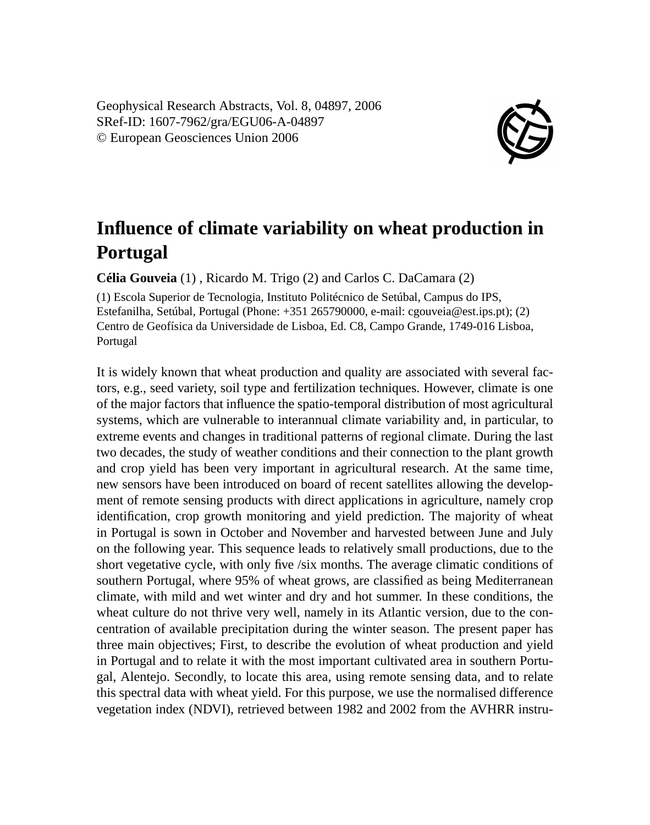Geophysical Research Abstracts, Vol. 8, 04897, 2006 SRef-ID: 1607-7962/gra/EGU06-A-04897 © European Geosciences Union 2006



## **Influence of climate variability on wheat production in Portugal**

**Célia Gouveia** (1) , Ricardo M. Trigo (2) and Carlos C. DaCamara (2)

(1) Escola Superior de Tecnologia, Instituto Politécnico de Setúbal, Campus do IPS, Estefanilha, Setúbal, Portugal (Phone: +351 265790000, e-mail: cgouveia@est.ips.pt); (2) Centro de Geofísica da Universidade de Lisboa, Ed. C8, Campo Grande, 1749-016 Lisboa, Portugal

It is widely known that wheat production and quality are associated with several factors, e.g., seed variety, soil type and fertilization techniques. However, climate is one of the major factors that influence the spatio-temporal distribution of most agricultural systems, which are vulnerable to interannual climate variability and, in particular, to extreme events and changes in traditional patterns of regional climate. During the last two decades, the study of weather conditions and their connection to the plant growth and crop yield has been very important in agricultural research. At the same time, new sensors have been introduced on board of recent satellites allowing the development of remote sensing products with direct applications in agriculture, namely crop identification, crop growth monitoring and yield prediction. The majority of wheat in Portugal is sown in October and November and harvested between June and July on the following year. This sequence leads to relatively small productions, due to the short vegetative cycle, with only five /six months. The average climatic conditions of southern Portugal, where 95% of wheat grows, are classified as being Mediterranean climate, with mild and wet winter and dry and hot summer. In these conditions, the wheat culture do not thrive very well, namely in its Atlantic version, due to the concentration of available precipitation during the winter season. The present paper has three main objectives; First, to describe the evolution of wheat production and yield in Portugal and to relate it with the most important cultivated area in southern Portugal, Alentejo. Secondly, to locate this area, using remote sensing data, and to relate this spectral data with wheat yield. For this purpose, we use the normalised difference vegetation index (NDVI), retrieved between 1982 and 2002 from the AVHRR instru-